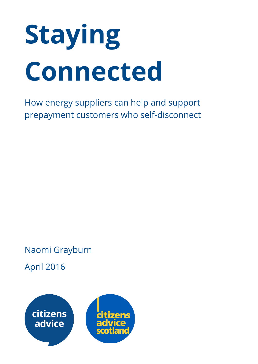# Staying Connected

How energy suppliers can help and support prepayment customers who self-disconnect

Naomi Grayburn

April 2016

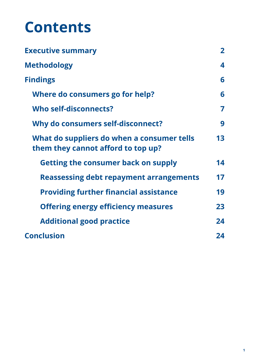# **Contents**

| <b>Executive summary</b>                                                         | $\mathbf{2}$ |
|----------------------------------------------------------------------------------|--------------|
| <b>Methodology</b>                                                               | 4            |
| <b>Findings</b>                                                                  | 6            |
| Where do consumers go for help?                                                  | 6            |
| Who self-disconnects?                                                            | 7            |
| Why do consumers self-disconnect?                                                | 9            |
| What do suppliers do when a consumer tells<br>them they cannot afford to top up? | 13           |
| <b>Getting the consumer back on supply</b>                                       | 14           |
| <b>Reassessing debt repayment arrangements</b>                                   | 17           |
| <b>Providing further financial assistance</b>                                    | 19           |
| <b>Offering energy efficiency measures</b>                                       | 23           |
| <b>Additional good practice</b>                                                  | 24           |
| <b>Conclusion</b>                                                                | 24           |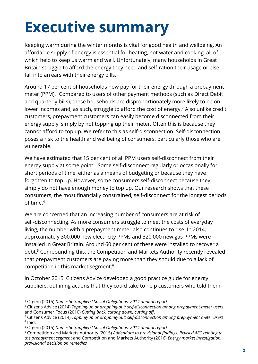# <span id="page-2-0"></span>Executive summary

Keeping warm during the winter months is vital for good health and wellbeing. An affordable supply of energy is essential for heating, hot water and cooking, all of which help to keep us warm and well. Unfortunately, many households in Great Britain struggle to afford the energy they need and self-ration their usage or else fall into arrears with their energy bills.

Around 17 per cent of households now pay for their energy through a prepayment meter (PPM).<sup>1</sup> Compared to users of other payment methods (such as Direct Debit and quarterly bills), these households are disproportionately more likely to be on lower incomes and, as such, struggle to afford the cost of energy. $<sup>2</sup>$  Also unlike credit</sup> customers, prepayment customers can easily become disconnected from their energy supply, simply by not topping up their meter. Often this is because they cannot afford to top up. We refer to this as self-disconnection. Self-disconnection poses a risk to the health and wellbeing of consumers, particularly those who are vulnerable.

We have estimated that 15 per cent of all PPM users self-disconnect from their energy supply at some point.<sup>3</sup> Some self-disconnect regularly or occasionally for short periods of time, either as a means of budgeting or because they have forgotten to top up. However, some consumers self-disconnect because they simply do not have enough money to top up. Our research shows that these consumers, the most financially constrained, self-disconnect for the longest periods of time. 4

We are concerned that an increasing number of consumers are at risk of self-disconnecting. As more consumers struggle to meet the costs of everyday living, the number with a prepayment meter also continues to rise. In 2014, approximately 300,000 new electricity PPMs and 320,000 new gas PPMs were installed in Great Britain. Around 60 per cent of these were installed to recover a debt.<sup>5</sup> Compounding this, the Competition and Markets Authority recently revealed that prepayment customers are paying more than they should due to a lack of competition in this market segment. 6

In October 2015, Citizens Advice developed a good practice guide for energy suppliers, outlining actions that they could take to help customers who told them

<sup>1</sup> Ofgem (2015) *Domestic Suppliers' Social Obligations: 2014 annual report*

<sup>2</sup> Citizens Advice (2014) *Topping-up or dropping-out: self-disconnection among prepayment meter users* and Consumer Focus (2010) *Cutting back, cutting down, cutting o兟땥*.

<sup>3</sup> Citizens Advice (2014) *Topping-up or dropping-out: self-disconnection among prepayment meter users* 4 Ibid.

<sup>5</sup> Ofgem (2015) *Domestic Suppliers' Social Obligations: 2014 annual report*

<sup>6</sup> Competition and Markets Authority (2015) *Addendum to provisional ᅠ〮ndings: Revised AEC relating to the prepayment segment* and Competition and Markets Authority (2016) *Energy market investigation: provisional decision on remedies*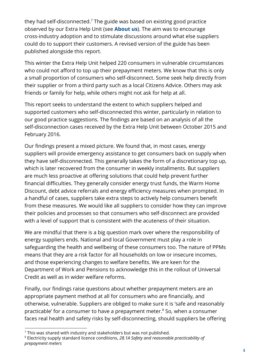they had self-disconnected. $^7$  The guide was based on existing good practice observed by our Extra Help Unit (see **About us**). The aim was to encourage cross-industry adoption and to stimulate discussions around what else suppliers could do to support their customers. A revised version of the guide has been published alongside this report.

This winter the Extra Help Unit helped 220 consumers in vulnerable circumstances who could not afford to top up their prepayment meters. We know that this is only a small proportion of consumers who self-disconnect. Some seek help directly from their supplier or from a third party such as a local Citizens Advice. Others may ask friends or family for help, while others might not ask for help at all.

This report seeks to understand the extent to which suppliers helped and supported customers who self-disconnected this winter, particularly in relation to our good practice suggestions. The findings are based on an analysis of all the self-disconnection cases received by the Extra Help Unit between October 2015 and February 2016.

Our findings present a mixed picture. We found that, in most cases, energy suppliers will provide emergency assistance to get consumers back on supply when they have self-disconnected. This generally takes the form of a discretionary top up, which is later recovered from the consumer in weekly installments. But suppliers are much less proactive at offering solutions that could help prevent further financial difficulties. They generally consider energy trust funds, the Warm Home Discount, debt advice referrals and energy efficiency measures when prompted. In a handful of cases, suppliers take extra steps to actively help consumers benefit from these measures. We would like all suppliers to consider how they can improve their policies and processes so that consumers who self-disconnect are provided with a level of support that is consistent with the acuteness of their situation.

We are mindful that there is a big question mark over where the responsibility of energy suppliers ends. National and local Government must play a role in safeguarding the health and wellbeing of these consumers too. The nature of PPMs means that they are a risk factor for all households on low or insecure incomes, and those experiencing changes to welfare benefits. We are keen for the Department of Work and Pensions to acknowledge this in the rollout of Universal Credit as well as in wider welfare reforms.

Finally, our findings raise questions about whether prepayment meters are an appropriate payment method at all for consumers who are financially, and otherwise, vulnerable. Suppliers are obliged to make sure it is 'safe and reasonably practicable' for a consumer to have a prepayment meter.<sup>8</sup> So, when a consumer faces real health and safety risks by self-disconnecting, should suppliers be offering

 $7$  This was shared with industry and stakeholders but was not published.

<sup>8</sup> Electricity supply standard licence conditions, *28.1A Safety and reasonable practicability of prepayment meters*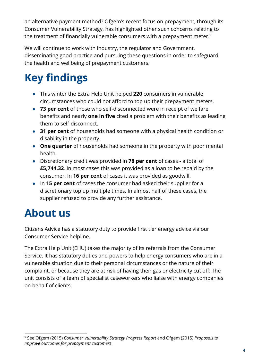an alternative payment method? Ofgem's recent focus on prepayment, through its Consumer Vulnerability Strategy, has highlighted other such concerns relating to the treatment of financially vulnerable consumers with a prepayment meter. $^{\rm 9}$ 

We will continue to work with industry, the regulator and Government, disseminating good practice and pursuing these questions in order to safeguard the health and wellbeing of prepayment customers.

## **Key findings**

- This winter the Extra Help Unit helped 220 consumers in vulnerable circumstances who could not afford to top up their prepayment meters.
- 73 per cent of those who self-disconnected were in receipt of welfare benefits and nearly **one in five** cited a problem with their benefits as leading them to self-disconnect.
- 31 per cent of households had someone with a physical health condition or disability in the property.
- One quarter of households had someone in the property with poor mental health.
- Discretionary credit was provided in 78 per cent of cases a total of £5,744.32. In most cases this was provided as a loan to be repaid by the consumer. In 16 per cent of cases it was provided as goodwill.
- In 15 per cent of cases the consumer had asked their supplier for a discretionary top up multiple times. In almost half of these cases, the supplier refused to provide any further assistance.

### About us

Citizens Advice has a statutory duty to provide first tier energy advice via our Consumer Service helpline.

The Extra Help Unit (EHU) takes the majority of its referrals from the Consumer Service. It has statutory duties and powers to help energy consumers who are in a vulnerable situation due to their personal circumstances or the nature of their complaint, or because they are at risk of having their gas or electricity cut off. The unit consists of a team of specialist caseworkers who liaise with energy companies on behalf of clients.

<sup>9</sup> See Ofgem (2015) *Consumer Vulnerability Strategy Progress Report* and Ofgem (2015) *Proposals to improve outcomes for prepayment customers*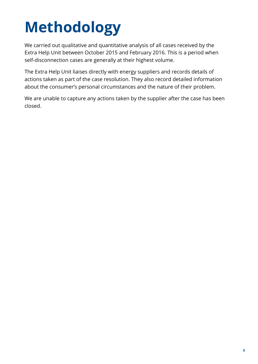# <span id="page-5-0"></span>Methodology

We carried out qualitative and quantitative analysis of all cases received by the Extra Help Unit between October 2015 and February 2016. This is a period when self-disconnection cases are generally at their highest volume.

The Extra Help Unit liaises directly with energy suppliers and records details of actions taken as part of the case resolution. They also record detailed information about the consumer's personal circumstances and the nature of their problem.

We are unable to capture any actions taken by the supplier after the case has been closed.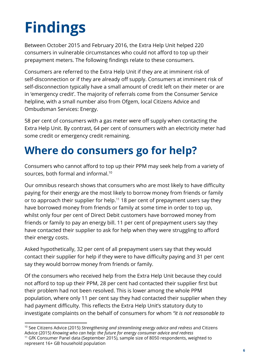# <span id="page-6-0"></span>Findings

Between October 2015 and February 2016, the Extra Help Unit helped 220 consumers in vulnerable circumstances who could not afford to top up their prepayment meters. The following findings relate to these consumers.

Consumers are referred to the Extra Help Unit if they are at imminent risk of self-disconnection or if they are already off supply. Consumers at imminent risk of self-disconnection typically have a small amount of credit left on their meter or are in 'emergency credit'. The majority of referrals come from the Consumer Service helpline, with a small number also from Ofgem, local Citizens Advice and Ombudsman Services: Energy.

58 per cent of consumers with a gas meter were off supply when contacting the Extra Help Unit. By contrast, 64 per cent of consumers with an electricity meter had some credit or emergency credit remaining.

### <span id="page-6-1"></span>Where do consumers go for help?

Consumers who cannot afford to top up their PPM may seek help from a variety of sources, both formal and informal. 10

Our omnibus research shows that consumers who are most likely to have difficulty paying for their energy are the most likely to borrow money from friends or family or to approach their supplier for help. $11$  18 per cent of prepayment users say they have borrowed money from friends or family at some time in order to top up, whilst only four per cent of Direct Debit customers have borrowed money from friends or family to pay an energy bill. 11 per cent of prepayment users say they have contacted their supplier to ask for help when they were struggling to afford their energy costs.

Asked hypothetically, 32 per cent of all prepayment users say that they would contact their supplier for help if they were to have difficulty paying and 31 per cent say they would borrow money from friends or family.

Of the consumers who received help from the Extra Help Unit because they could not afford to top up their PPM, 28 per cent had contacted their supplier first but their problem had not been resolved. This is lower among the whole PPM population, where only 11 per cent say they had contacted their supplier when they had payment difficulty. This reflects the Extra Help Unit's statutory duty to investigate complaints on the behalf of consumers for whom *"it is not reasonable to*

<sup>10</sup> See Citizens Advice (2015) *Strengthening and streamlining energy advice and redress* and Citizens Advice (2015) *Knowing who can help: the future for energy consumer advice and redress*

<sup>&</sup>lt;sup>11</sup> GfK Consumer Panel data (September 2015), sample size of 8050 respondents, weighted to represent 16+ GB household population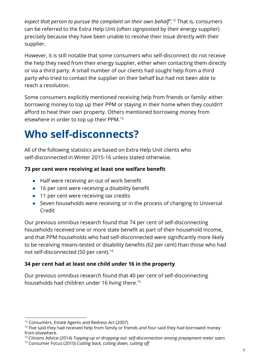*expect that person to pursue the complaint on their own behalf"*. That is, consumers 12 can be referred to the Extra Help Unit (often signposted by their energy supplier) precisely because they have been unable to resolve their issue directly with their supplier.

However, it is still notable that some consumers who self-disconnect do not receive the help they need from their energy supplier, either when contacting them directly or via a third party. A small number of our clients had sought help from a third party who tried to contact the supplier on their behalf but had not been able to reach a resolution.

Some consumers explicitly mentioned receiving help from friends or family: either borrowing money to top up their PPM or staying in their home when they couldn't afford to heat their own property. Others mentioned borrowing money from elsewhere in order to top up their PPM. 13

### <span id="page-7-0"></span>Who self-disconnects?

All of the following statistics are based on Extra Help Unit clients who self-disconnected in Winter 2015-16 unless stated otherwise.

#### 73 per cent were receiving at least one welfare benefit

- Half were receiving an out of work benefit
- 16 per cent were receiving a disability benefit
- 11 per cent were receiving tax credits
- Seven households were receiving or in the process of changing to Universal Credit

Our previous omnibus research found that 74 per cent of self-disconnecting households received one or more state benefit as part of their household income, and that PPM households who had self-disconnected were significantly more likely to be receiving means-tested or disability benefits (62 per cent) than those who had not self-disconnected (50 per cent). 14

#### 34 per cent had at least one child under 16 in the property

Our previous omnibus research found that 40 per cent of self-disconnecting households had children under 16 living there. 15

<sup>&</sup>lt;sup>12</sup> Consumers, Estate Agents and Redress Act (2007)

 $13$  Five said they had received help from family or friends and four said they had borrowed money from elsewhere.

<sup>14</sup> Citizens Advice (2014) *Topping-up or dropping-out: self-disconnection among prepayment meter users*

<sup>&</sup>lt;sup>15</sup> Consumer Focus (2010) *Cutting back, cutting down, cutting off*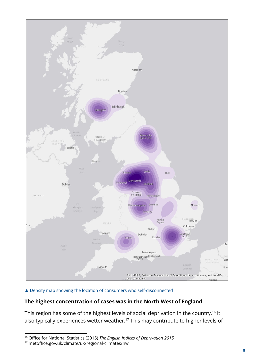

#### ▲ Density map showing the location of consumers who self-disconnected

#### The highest concentration of cases was in the North West of England

This region has some of the highest levels of social deprivation in the country. $^{\rm 16}$  It also typically experiences wetter weather. $^{17}$  This may contribute to higher levels of

<sup>16</sup> Office for National Statistics (2015) *The English Indices of Deprivation 2015*

<sup>17</sup> metoffice.gov.uk/climate/uk/regional-climates/nw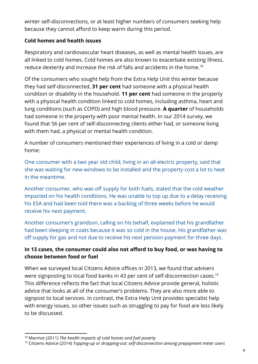winter self-disconnections, or at least higher numbers of consumers seeking help because they cannot afford to keep warm during this period.

#### Cold homes and health issues

Respiratory and cardiovascular heart diseases, as well as mental health issues, are all linked to cold homes. Cold homes are also known to exacerbate existing illness, reduce dexterity and increase the risk of falls and accidents in the home. 18

Of the consumers who sought help from the Extra Help Unit this winter because they had self-disconnected, 31 per cent had someone with a physical health condition or disability in the household. **11 per cent** had someone in the property with a physical health condition linked to cold homes, including asthma, heart and lung conditions (such as COPD) and high blood pressure. A quarter of households had someone in the property with poor mental health. In our 2014 survey, we found that 56 per cent of self-disconnecting clients either had, or someone living with them had, a physical or mental health condition.

A number of consumers mentioned their experiences of living in a cold or damp home:

One consumer with a two year old child, living in an all-electric property, said that she was waiting for new windows to be installed and the property cost a lot to heat in the meantime.

Another consumer, who was off supply for both fuels, stated that the cold weather impacted on his health conditions. He was unable to top up due to a delay receiving his ESA and had been told there was a backlog of three weeks before he would receive his next payment.

Another consumer's grandson, calling on his behalf, explained that his grandfather had been sleeping in coats because it was so cold in the house. His grandfather was off supply for gas and not due to receive his next pension payment for three days.

#### In 13 cases, the consumer could also not afford to buy food, or was having to choose between food or fuel

When we surveyed local Citizens Advice offices in 2013, we found that advisers were signposting to local food banks in 43 per cent of self-disconnection cases. 19 This difference reflects the fact that local Citizens Advice provide general, holistic advice that looks at all of the consumer's problems. They are also more able to signpost to local services. In contrast, the Extra Help Unit provides specialist help with energy issues, so other issues such as struggling to pay for food are less likely to be discussed.

<sup>18</sup> Marmot (2011) *The health impacts of cold homes and fuel poverty*

<sup>19</sup> Citizens Advice (2014) *Topping-up or dropping-out: self-disconnection among prepayment meter users*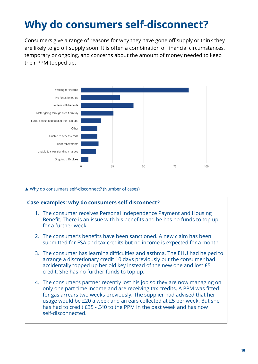### <span id="page-10-0"></span>Why do consumers self-disconnect?

Consumers give a range of reasons for why they have gone off supply or think they are likely to go off supply soon. It is often a combination of financial circumstances, temporary or ongoing, and concerns about the amount of money needed to keep their PPM topped up.



▲ Why do consumers self-disconnect? (Number of cases)

#### Case examples: why do consumers self-disconnect?

- 1. The consumer receives Personal Independence Payment and Housing Benefit. There is an issue with his benefits and he has no funds to top up for a further week.
- 2. The consumer's benefits have been sanctioned. A new claim has been submitted for ESA and tax credits but no income is expected for a month.
- 3. The consumer has learning difficulties and asthma. The EHU had helped to arrange a discretionary credit 10 days previously but the consumer had accidentally topped up her old key instead of the new one and lost £5 credit. She has no further funds to top up.
- 4. The consumer's partner recently lost his job so they are now managing on only one part time income and are receiving tax credits. A PPM was fitted for gas arrears two weeks previously. The supplier had advised that her usage would be £20 a week and arrears collected at £5 per week. But she has had to credit £35 - £40 to the PPM in the past week and has now self-disconnected.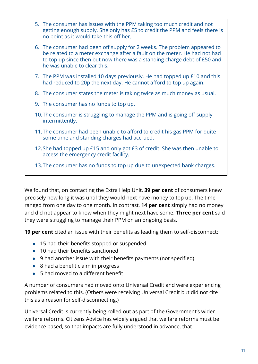| 5. The consumer has issues with the PPM taking too much credit and not<br>getting enough supply. She only has £5 to credit the PPM and feels there is<br>no point as it would take this off her.                                                                  |  |  |
|-------------------------------------------------------------------------------------------------------------------------------------------------------------------------------------------------------------------------------------------------------------------|--|--|
| 6. The consumer had been off supply for 2 weeks. The problem appeared to<br>be related to a meter exchange after a fault on the meter. He had not had<br>to top up since then but now there was a standing charge debt of £50 and<br>he was unable to clear this. |  |  |
| 7. The PPM was installed 10 days previously. He had topped up £10 and this<br>had reduced to 20p the next day. He cannot afford to top up again.                                                                                                                  |  |  |
| 8. The consumer states the meter is taking twice as much money as usual.                                                                                                                                                                                          |  |  |
| 9. The consumer has no funds to top up.                                                                                                                                                                                                                           |  |  |
| 10. The consumer is struggling to manage the PPM and is going off supply<br>intermittently.                                                                                                                                                                       |  |  |
| 11. The consumer had been unable to afford to credit his gas PPM for quite<br>some time and standing charges had accrued.                                                                                                                                         |  |  |
| 12. She had topped up £15 and only got £3 of credit. She was then unable to<br>access the emergency credit facility.                                                                                                                                              |  |  |
| 13. The consumer has no funds to top up due to unexpected bank charges.                                                                                                                                                                                           |  |  |
|                                                                                                                                                                                                                                                                   |  |  |

We found that, on contacting the Extra Help Unit, 39 per cent of consumers knew precisely how long it was until they would next have money to top up. The time ranged from one day to one month. In contrast, **14 per cent** simply had no money and did not appear to know when they might next have some. Three per cent said they were struggling to manage their PPM on an ongoing basis.

**19 per cent** cited an issue with their benefits as leading them to self-disconnect:

- 15 had their benefits stopped or suspended
- 10 had their benefits sanctioned
- 9 had another issue with their benefits payments (not specified)
- 8 had a benefit claim in progress
- 5 had moved to a different benefit

A number of consumers had moved onto Universal Credit and were experiencing problems related to this. (Others were receiving Universal Credit but did not cite this as a reason for self-disconnecting.)

Universal Credit is currently being rolled out as part of the Government's wider welfare reforms. Citizens Advice has widely argued that welfare reforms must be evidence based, so that impacts are fully understood in advance, that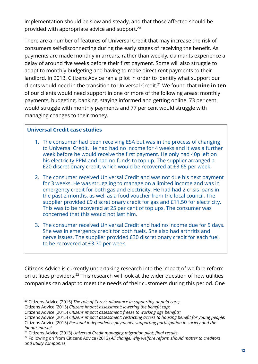implementation should be slow and steady, and that those affected should be provided with appropriate advice and support. 20

There are a number of features of Universal Credit that may increase the risk of consumers self-disconnecting during the early stages of receiving the benefit. As payments are made monthly in arrears, rather than weekly, claimants experience a delay of around five weeks before their first payment. Some will also struggle to adapt to monthly budgeting and having to make direct rent payments to their landlord. In 2013, Citizens Advice ran a pilot in order to identify what support our clients would need in the transition to Universal Credit.<sup>21</sup> We found that **nine in ten** of our clients would need support in one or more of the following areas: monthly payments, budgeting, banking, staying informed and getting online. 73 per cent would struggle with monthly payments and 77 per cent would struggle with managing changes to their money.

#### Universal Credit case studies

- 1. The consumer had been receiving ESA but was in the process of changing to Universal Credit. He had had no income for 4 weeks and it was a further week before he would receive the first payment. He only had 40p left on his electricity PPM and had no funds to top up. The supplier arranged a £20 discretionary credit, which would be recovered at £3.65 per week.
- 2. The consumer received Universal Credit and was not due his next payment for 3 weeks. He was struggling to manage on a limited income and was in emergency credit for both gas and electricity. He had had 2 crisis loans in the past 2 months, as well as a food voucher from the local council. The supplier provided £9 discretionary credit for gas and £11.50 for electricity. This was to be recovered at 25 per cent of top ups. The consumer was concerned that this would not last him.
- 3. The consumer received Universal Credit and had no income due for 5 days. She was in emergency credit for both fuels. She also had arthritis and nerve issues. The supplier provided £30 discretionary credit for each fuel, to be recovered at £3.70 per week.

Citizens Advice is currently undertaking research into the impact of welfare reform on utilities providers. $22$  This research will look at the wider question of how utilities companies can adapt to meet the needs of their customers during this period. One

<sup>20</sup> Citizens Advice (2015) *The role of Carer's allowance in supporting unpaid care;*

Citizens Advice (2015) *Citizens impact assessment: lowering the beneᅠ〮t cap*;

Citizens Advice (2015) *Citizens impact assessment: freeze to working age beneᅠ〮ts;*

Citizens Advice (2015) *Citizens impact assessment; restricting access to housing beneᅠ〮t for young people;* Citizens Advice (2015) *Personal independence payments: supporting participation in society and the labour market*

<sup>21</sup> Citizens Advice (2013) *Universal Credit managing migration pilot: ᅠ〮nal results*

<sup>22</sup> Following on from Citizens Advice (2013) *All change: why welfare reform should matter to creditors and utility companies*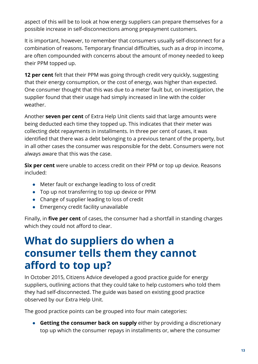aspect of this will be to look at how energy suppliers can prepare themselves for a possible increase in self-disconnections among prepayment customers.

It is important, however, to remember that consumers usually self-disconnect for a combination of reasons. Temporary financial difficulties, such as a drop in income, are often compounded with concerns about the amount of money needed to keep their PPM topped up.

**12 per cent** felt that their PPM was going through credit very quickly, suggesting that their energy consumption, or the cost of energy, was higher than expected. One consumer thought that this was due to a meter fault but, on investigation, the supplier found that their usage had simply increased in line with the colder weather.

Another **seven per cent** of Extra Help Unit clients said that large amounts were being deducted each time they topped up. This indicates that their meter was collecting debt repayments in installments. In three per cent of cases, it was identified that there was a debt belonging to a previous tenant of the property, but in all other cases the consumer was responsible for the debt. Consumers were not always aware that this was the case.

Six per cent were unable to access credit on their PPM or top up device. Reasons included:

- Meter fault or exchange leading to loss of credit
- Top up not transferring to top up device or PPM
- Change of supplier leading to loss of credit
- Emergency credit facility unavailable

Finally, in five per cent of cases, the consumer had a shortfall in standing charges which they could not afford to clear.

### <span id="page-13-0"></span>What do suppliers do when a consumer tells them they cannot afford to top up?

In October 2015, Citizens Advice developed a good practice guide for energy suppliers, outlining actions that they could take to help customers who told them they had self-disconnected. The guide was based on existing good practice observed by our Extra Help Unit.

The good practice points can be grouped into four main categories:

● Getting the consumer back on supply either by providing a discretionary top up which the consumer repays in installments or, where the consumer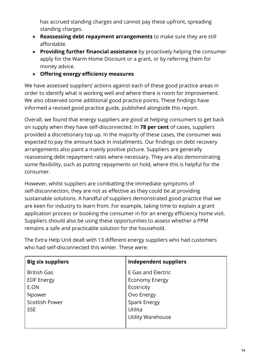has accrued standing charges and cannot pay these upfront, spreading standing charges.

- Reassessing debt repayment arrangements to make sure they are still affordable.
- Providing further financial assistance by proactively helping the consumer apply for the Warm Home Discount or a grant, or by referring them for money advice.
- Offering energy efficiency measures

We have assessed suppliers' actions against each of these good practice areas in order to identify what is working well and where there is room for improvement. We also observed some additional good practice points. These findings have informed a revised good practice guide, published alongside this report.

Overall, we found that energy suppliers are good at helping consumers to get back on supply when they have self-disconnected. In 78 per cent of cases, suppliers provided a discretionary top up. In the majority of these cases, the consumer was expected to pay the amount back in installments. Our findings on debt recovery arrangements also paint a mainly positive picture. Suppliers are generally reassessing debt repayment rates where necessary. They are also demonstrating some flexibility, such as putting repayments on hold, where this is helpful for the consumer.

However, whilst suppliers are combatting the immediate symptoms of self-disconnection, they are not as effective as they could be at providing sustainable solutions. A handful of suppliers demonstrated good practice that we are keen for industry to learn from. For example, taking time to explain a grant application process or booking the consumer in for an energy efficiency home visit. Suppliers should also be using these opportunities to assess whether a PPM remains a safe and practicable solution for the household.

| <b>Big six suppliers</b> | Independent suppliers    |
|--------------------------|--------------------------|
| <b>British Gas</b>       | E Gas and Electric       |
| <b>EDF Energy</b>        | <b>Economy Energy</b>    |
| E.ON                     | Ecotricity               |
| Npower                   | Ovo Energy               |
| <b>Scottish Power</b>    | Spark Energy             |
| <b>SSE</b>               | Utilita                  |
|                          | <b>Utility Warehouse</b> |
|                          |                          |

The Extra Help Unit dealt with 13 different energy suppliers who had customers who had self-disconnected this winter. These were: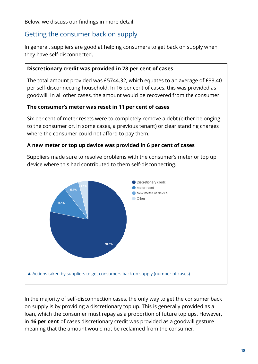Below, we discuss our findings in more detail.

#### <span id="page-15-0"></span>Getting the consumer back on supply

In general, suppliers are good at helping consumers to get back on supply when they have self-disconnected.

#### Discretionary credit was provided in 78 per cent of cases

The total amount provided was £5744.32, which equates to an average of £33.40 per self-disconnecting household. In 16 per cent of cases, this was provided as goodwill. In all other cases, the amount would be recovered from the consumer.

#### The consumer's meter was reset in 11 per cent of cases

Six per cent of meter resets were to completely remove a debt (either belonging to the consumer or, in some cases, a previous tenant) or clear standing charges where the consumer could not afford to pay them.

#### A new meter or top up device was provided in 6 per cent of cases

Suppliers made sure to resolve problems with the consumer's meter or top up device where this had contributed to them self-disconnecting.



In the majority of self-disconnection cases, the only way to get the consumer back on supply is by providing a discretionary top up. This is generally provided as a loan, which the consumer must repay as a proportion of future top ups. However, in 16 per cent of cases discretionary credit was provided as a goodwill gesture meaning that the amount would not be reclaimed from the consumer.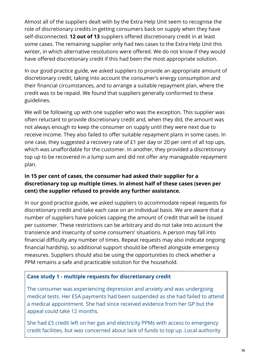Almost all of the suppliers dealt with by the Extra Help Unit seem to recognise the role of discretionary credits in getting consumers back on supply when they have self-disconnected. **12 out of 13** suppliers offered discretionary credit in at least some cases. The remaining supplier only had two cases to the Extra Help Unit this winter, in which alternative resolutions were offered. We do not know if they would have offered discretionary credit if this had been the most appropriate solution.

In our good practice guide, we asked suppliers to provide an appropriate amount of discretionary credit, taking into account the consumer's energy consumption and their financial circumstances, and to arrange a suitable repayment plan, where the credit was to be repaid. We found that suppliers generally conformed to these guidelines.

We will be following up with one supplier who was the exception. This supplier was often reluctant to provide discretionary credit and, when they did, the amount was not always enough to keep the consumer on supply until they were next due to receive income. They also failed to offer suitable repayment plans in some cases. In one case, they suggested a recovery rate of £1 per day or 20 per cent of all top ups, which was unaffordable for the customer. In another, they provided a discretionary top up to be recovered in a lump sum and did not offer any manageable repayment plan.

#### In 15 per cent of cases, the consumer had asked their supplier for a discretionary top up multiple times. In almost half of these cases (seven per cent) the supplier refused to provide any further assistance.

In our good practice guide, we asked suppliers to accommodate repeat requests for discretionary credit and take each case on an individual basis. We are aware that a number of suppliers have policies capping the amount of credit that will be issued per customer. These restrictions can be arbitrary and do not take into account the transience and insecurity of some consumers' situations. A person may fall into financial difficulty any number of times. Repeat requests may also indicate ongoing financial hardship, so additional support should be offered alongside emergency measures. Suppliers should also be using the opportunities to check whether a PPM remains a safe and practicable solution for the household.

#### Case study 1 - multiple requests for discretionary credit

The consumer was experiencing depression and anxiety and was undergoing medical tests. Her ESA payments had been suspended as she had failed to attend a medical appointment. She had since received evidence from her GP but the appeal could take 12 months.

She had £5 credit left on her gas and electricity PPMs with access to emergency credit facilities, but was concerned about lack of funds to top up. Local authority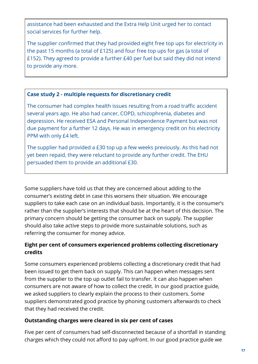assistance had been exhausted and the Extra Help Unit urged her to contact social services for further help.

The supplier confirmed that they had provided eight free top ups for electricity in the past 15 months (a total of £125) and four free top ups for gas (a total of £152). They agreed to provide a further £40 per fuel but said they did not intend to provide any more.

#### Case study 2 - multiple requests for discretionary credit

The consumer had complex health issues resulting from a road traffic accident several years ago. He also had cancer, COPD, schizophrenia, diabetes and depression. He received ESA and Personal Independence Payment but was not due payment for a further 12 days. He was in emergency credit on his electricity PPM with only £4 left.

The supplier had provided a £30 top up a few weeks previously. As this had not yet been repaid, they were reluctant to provide any further credit. The EHU persuaded them to provide an additional £30.

Some suppliers have told us that they are concerned about adding to the consumer's existing debt in case this worsens their situation. We encourage suppliers to take each case on an individual basis. Importantly, it is the consumer's rather than the supplier's interests that should be at the heart of this decision. The primary concern should be getting the consumer back on supply. The supplier should also take active steps to provide more sustainable solutions, such as referring the consumer for money advice.

#### Eight per cent of consumers experienced problems collecting discretionary credits

Some consumers experienced problems collecting a discretionary credit that had been issued to get them back on supply. This can happen when messages sent from the supplier to the top up outlet fail to transfer. It can also happen when consumers are not aware of how to collect the credit. In our good practice guide, we asked suppliers to clearly explain the process to their customers. Some suppliers demonstrated good practice by phoning customers afterwards to check that they had received the credit.

#### Outstanding charges were cleared in six per cent of cases

Five per cent of consumers had self-disconnected because of a shortfall in standing charges which they could not afford to pay upfront. In our good practice guide we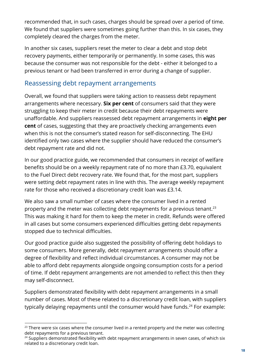recommended that, in such cases, charges should be spread over a period of time. We found that suppliers were sometimes going further than this. In six cases, they completely cleared the charges from the meter.

In another six cases, suppliers reset the meter to clear a debt and stop debt recovery payments, either temporarily or permanently. In some cases, this was because the consumer was not responsible for the debt - either it belonged to a previous tenant or had been transferred in error during a change of supplier.

#### <span id="page-18-0"></span>Reassessing debt repayment arrangements

Overall, we found that suppliers were taking action to reassess debt repayment arrangements where necessary. Six per cent of consumers said that they were struggling to keep their meter in credit because their debt repayments were unaffordable. And suppliers reassessed debt repayment arrangements in eight per cent of cases, suggesting that they are proactively checking arrangements even when this is not the consumer's stated reason for self-disconnecting. The EHU identified only two cases where the supplier should have reduced the consumer's debt repayment rate and did not.

In our good practice guide, we recommended that consumers in receipt of welfare benefits should be on a weekly repayment rate of no more than £3.70, equivalent to the Fuel Direct debt recovery rate. We found that, for the most part, suppliers were setting debt repayment rates in line with this. The average weekly repayment rate for those who received a discretionary credit loan was £3.14.

We also saw a small number of cases where the consumer lived in a rented property and the meter was collecting debt repayments for a previous tenant.<sup>23</sup> This was making it hard for them to keep the meter in credit. Refunds were offered in all cases but some consumers experienced difficulties getting debt repayments stopped due to technical difficulties.

Our good practice guide also suggested the possibility of offering debt holidays to some consumers. More generally, debt repayment arrangements should offer a degree of flexibility and reflect individual circumstances. A consumer may not be able to afford debt repayments alongside ongoing consumption costs for a period of time. If debt repayment arrangements are not amended to reflect this then they may self-disconnect.

Suppliers demonstrated flexibility with debt repayment arrangements in a small number of cases. Most of these related to a discretionary credit loan, with suppliers typically delaying repayments until the consumer would have funds.<sup>24</sup> For example:

 $23$  There were six cases where the consumer lived in a rented property and the meter was collecting debt repayments for a previous tenant.

<sup>&</sup>lt;sup>24</sup> Suppliers demonstrated flexibility with debt repayment arrangements in seven cases, of which six related to a discretionary credit loan.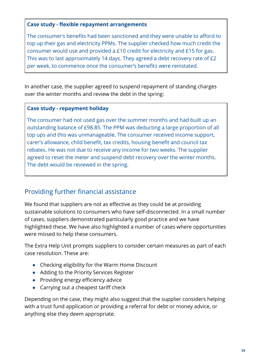#### Case study - flexible repayment arrangements

The consumer's benefits had been sanctioned and they were unable to afford to top up their gas and electricity PPMs. The supplier checked how much credit the consumer would use and provided a £10 credit for electricity and £15 for gas. This was to last approximately 14 days. They agreed a debt recovery rate of £2 per week, to commence once the consumer's benefits were reinstated.

In another case, the supplier agreed to suspend repayment of standing charges over the winter months and review the debt in the spring:

#### Case study - repayment holiday

The consumer had not used gas over the summer months and had built up an outstanding balance of £98.85. The PPM was deducting a large proportion of all top ups and this was unmanageable. The consumer received income support, carer's allowance, child benefit, tax credits, housing benefit and council tax rebates. He was not due to receive any income for two weeks. The supplier agreed to reset the meter and suspend debt recovery over the winter months. The debt would be reviewed in the spring.

#### <span id="page-19-0"></span>Providing further financial assistance

We found that suppliers are not as effective as they could be at providing sustainable solutions to consumers who have self-disconnected. In a small number of cases, suppliers demonstrated particularly good practice and we have highlighted these. We have also highlighted a number of cases where opportunities were missed to help these consumers.

The Extra Help Unit prompts suppliers to consider certain measures as part of each case resolution. These are:

- Checking eligibility for the Warm Home Discount
- Adding to the Priority Services Register
- Providing energy efficiency advice
- Carrying out a cheapest tariff check

Depending on the case, they might also suggest that the supplier considers helping with a trust fund application or providing a referral for debt or money advice, or anything else they deem appropriate.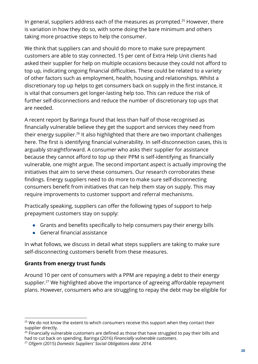In general, suppliers address each of the measures as prompted. $25$  However, there is variation in how they do so, with some doing the bare minimum and others taking more proactive steps to help the consumer.

We think that suppliers can and should do more to make sure prepayment customers are able to stay connected. 15 per cent of Extra Help Unit clients had asked their supplier for help on multiple occasions because they could not afford to top up, indicating ongoing financial difficulties. These could be related to a variety of other factors such as employment, health, housing and relationships. Whilst a discretionary top up helps to get consumers back on supply in the first instance, it is vital that consumers get longer-lasting help too. This can reduce the risk of further self-disconnections and reduce the number of discretionary top ups that are needed.

A recent report by Baringa found that less than half of those recognised as financially vulnerable believe they get the support and services they need from their energy supplier. $^{26}$  It also highlighted that there are two important challenges here. The first is identifying financial vulnerability. In self-disconnection cases, this is arguably straightforward. A consumer who asks their supplier for assistance because they cannot afford to top up their PPM is self-identifying as financially vulnerable, one might argue. The second important aspect is actually improving the initiatives that aim to serve these consumers. Our research corroborates these findings. Energy suppliers need to do more to make sure self-disconnecting consumers benefit from initiatives that can help them stay on supply. This may require improvements to customer support and referral mechanisms.

Practically speaking, suppliers can offer the following types of support to help prepayment customers stay on supply:

- Grants and benefits specifically to help consumers pay their energy bills
- $\bullet$  General financial assistance

In what follows, we discuss in detail what steps suppliers are taking to make sure self-disconnecting customers benefit from these measures.

#### Grants from energy trust funds

Around 10 per cent of consumers with a PPM are repaying a debt to their energy supplier.<sup>27</sup> We highlighted above the importance of agreeing affordable repayment plans. However, consumers who are struggling to repay the debt may be eligible for

<sup>&</sup>lt;sup>25</sup> We do not know the extent to which consumers receive this support when they contact their supplier directly.

<sup>&</sup>lt;sup>26</sup> Financially vulnerable customers are defined as those that have struggled to pay their bills and had to cut back on spending. Baringa (2016) *Financially vulnerable customers*.

<sup>27</sup> Ofgem (2015) *Domestic Suppliers' Social Obligations data: 2014.*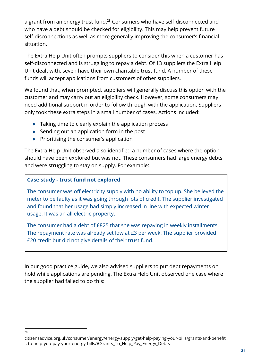a grant from an energy trust fund.<sup>28</sup> Consumers who have self-disconnected and who have a debt should be checked for eligibility. This may help prevent future self-disconnections as well as more generally improving the consumer's financial situation.

The Extra Help Unit often prompts suppliers to consider this when a customer has self-disconnected and is struggling to repay a debt. Of 13 suppliers the Extra Help Unit dealt with, seven have their own charitable trust fund. A number of these funds will accept applications from customers of other suppliers.

We found that, when prompted, suppliers will generally discuss this option with the customer and may carry out an eligibility check. However, some consumers may need additional support in order to follow through with the application. Suppliers only took these extra steps in a small number of cases. Actions included:

- Taking time to clearly explain the application process
- Sending out an application form in the post
- Prioritising the consumer's application

The Extra Help Unit observed also identified a number of cases where the option should have been explored but was not. These consumers had large energy debts and were struggling to stay on supply. For example:

#### Case study - trust fund not explored

28

The consumer was off electricity supply with no ability to top up. She believed the meter to be faulty as it was going through lots of credit. The supplier investigated and found that her usage had simply increased in line with expected winter usage. It was an all electric property.

The consumer had a debt of £825 that she was repaying in weekly installments. The repayment rate was already set low at £3 per week. The supplier provided £20 credit but did not give details of their trust fund.

In our good practice guide, we also advised suppliers to put debt repayments on hold while applications are pending. The Extra Help Unit observed one case where the supplier had failed to do this:

citizensadvice.org.uk/consumer/energy/energy-supply/get-help-paying-your-bills/grants-and-benefit s-to-help-you-pay-your-energy-bills/#Grants\_To\_Help\_Pay\_Energy\_Debts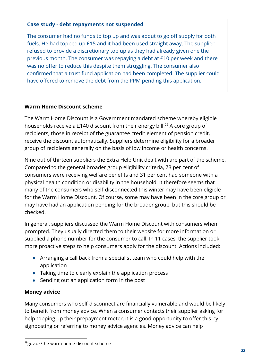#### Case study - debt repayments not suspended

The consumer had no funds to top up and was about to go off supply for both fuels. He had topped up £15 and it had been used straight away. The supplier refused to provide a discretionary top up as they had already given one the previous month. The consumer was repaying a debt at £10 per week and there was no offer to reduce this despite them struggling. The consumer also confirmed that a trust fund application had been completed. The supplier could have offered to remove the debt from the PPM pending this application.

#### Warm Home Discount scheme

The Warm Home Discount is a Government mandated scheme whereby eligible households receive a £140 discount from their energy bill. $^\mathrm{29}$  A core group of recipients, those in receipt of the guarantee credit element of pension credit, receive the discount automatically. Suppliers determine eligibility for a broader group of recipients generally on the basis of low income or health concerns.

Nine out of thirteen suppliers the Extra Help Unit dealt with are part of the scheme. Compared to the general broader group eligibility criteria, 73 per cent of consumers were receiving welfare benefits and 31 per cent had someone with a physical health condition or disability in the household. It therefore seems that many of the consumers who self-disconnected this winter may have been eligible for the Warm Home Discount. Of course, some may have been in the core group or may have had an application pending for the broader group, but this should be checked.

In general, suppliers discussed the Warm Home Discount with consumers when prompted. They usually directed them to their website for more information or supplied a phone number for the consumer to call. In 11 cases, the supplier took more proactive steps to help consumers apply for the discount. Actions included:

- Arranging a call back from a specialist team who could help with the application
- Taking time to clearly explain the application process
- Sending out an application form in the post

#### Money advice

Many consumers who self-disconnect are financially vulnerable and would be likely to benefit from money advice. When a consumer contacts their supplier asking for help topping up their prepayment meter, it is a good opportunity to offer this by signposting or referring to money advice agencies. Money advice can help

<sup>29</sup>gov.uk/the-warm-home-discount-scheme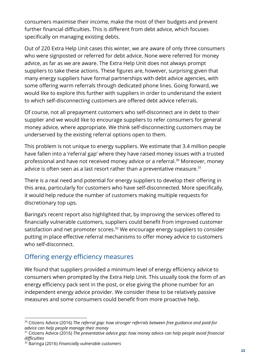consumers maximise their income, make the most of their budgets and prevent further financial difficulties. This is different from debt advice, which focuses specifically on managing existing debts.

Out of 220 Extra Help Unit cases this winter, we are aware of only three consumers who were signposted or referred for debt advice. None were referred for money advice, as far as we are aware. The Extra Help Unit does not always prompt suppliers to take these actions. These figures are, however, surprising given that many energy suppliers have formal partnerships with debt advice agencies, with some offering warm referrals through dedicated phone lines. Going forward, we would like to explore this further with suppliers in order to understand the extent to which self-disconnecting customers are offered debt advice referrals.

Of course, not all prepayment customers who self-disconnect are in debt to their supplier and we would like to encourage suppliers to refer consumers for general money advice, where appropriate. We think self-disconnecting customers may be underserved by the existing referral options open to them.

This problem is not unique to energy suppliers. We estimate that 3.4 million people have fallen into a 'referral gap' where they have raised money issues with a trusted professional and have not received money advice or a referral.<sup>30</sup> Moreover, money advice is often seen as a last resort rather than a preventative measure. $^{\rm 31}$ 

There is a real need and potential for energy suppliers to develop their offering in this area, particularly for customers who have self-disconnected. More specifically, it would help reduce the number of customers making multiple requests for discretionary top ups.

Baringa's recent report also highlighted that, by improving the services offered to financially vulnerable customers, suppliers could benefit from improved customer satisfaction and net promoter scores. $32$  We encourage energy suppliers to consider putting in place effective referral mechanisms to offer money advice to customers who self-disconnect.

#### <span id="page-23-0"></span>Offering energy efficiency measures

We found that suppliers provided a minimum level of energy efficiency advice to consumers when prompted by the Extra Help Unit. This usually took the form of an energy efficiency pack sent in the post, or else giving the phone number for an independent energy advice provider. We consider these to be relatively passive measures and some consumers could benefit from more proactive help.

<sup>30</sup> Citizens Advice (2016) *The referral gap: how stronger referrals between free guidance and paid-for advice can help people manage their money*

<sup>31</sup> Citizens Advice (2016) *The preventative advice gap: how money advice can help people avoid ᅠ〮nancial di휓culties*

<sup>32</sup> Baringa (2016) *Financially vulnerable customers*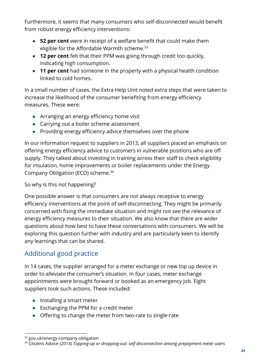Furthermore, it seems that many consumers who self-disconnected would benefit from robust energy efficiency interventions:

- 52 per cent were in receipt of a welfare benefit that could make them eligible for the Affordable Warmth scheme. 33
- 12 per cent felt that their PPM was going through credit too quickly, indicating high consumption.
- 11 per cent had someone in the property with a physical health condition linked to cold homes.

In a small number of cases, the Extra Help Unit noted extra steps that were taken to increase the likelihood of the consumer benefiting from energy efficiency measures. These were:

- Arranging an energy efficiency home visit
- Carrying out a boiler scheme assessment
- Providing energy efficiency advice themselves over the phone

In our information request to suppliers in 2013, all suppliers placed an emphasis on offering energy efficiency advice to customers in vulnerable positions who are off supply. They talked about investing in training across their staff to check eligibility for insulation, home improvements or boiler replacements under the Energy Company Obligation (ECO) scheme. 34

#### So why is this not happening?

One possible answer is that consumers are not always receptive to energy efficiency interventions at the point of self-disconnecting. They might be primarily concerned with fixing the immediate situation and might not see the relevance of energy efficiency measures to their situation. We also know that there are wider questions about how best to have these conversations with consumers. We will be exploring this question further with industry and are particularly keen to identify any learnings that can be shared.

#### <span id="page-24-0"></span>Additional good practice

In 14 cases, the supplier arranged for a meter exchange or new top up device in order to alleviate the consumer's situation. In four cases, meter exchange appointments were brought forward or booked as an emergency job. Eight suppliers took such actions. These included:

- Installing a smart meter
- Exchanging the PPM for a credit meter
- Offering to change the meter from two-rate to single-rate

<sup>&</sup>lt;sup>33</sup> gov.uk/energy-company-obligation

<sup>34</sup> Citizens Advice (2014) *Topping-up or dropping-out: self-disconnection among prepayment meter users*